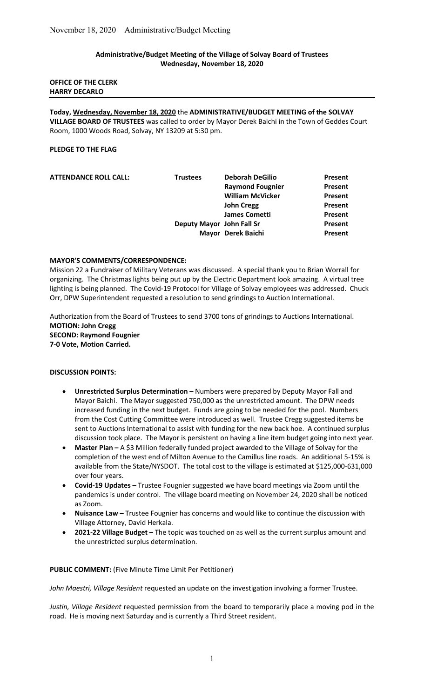## Administrative/Budget Meeting of the Village of Solvay Board of Trustees Wednesday, November 18, 2020

### OFFICE OF THE CLERK HARRY DECARLO

Today, Wednesday, November 18, 2020 the ADMINISTRATIVE/BUDGET MEETING of the SOLVAY VILLAGE BOARD OF TRUSTEES was called to order by Mayor Derek Baichi in the Town of Geddes Court Room, 1000 Woods Road, Solvay, NY 13209 at 5:30 pm.

## PLEDGE TO THE FLAG

| <b>ATTENDANCE ROLL CALL:</b> | <b>Trustees</b>           | <b>Deborah DeGilio</b>  | Present |
|------------------------------|---------------------------|-------------------------|---------|
|                              |                           | <b>Raymond Fougnier</b> | Present |
|                              |                           | <b>William McVicker</b> | Present |
|                              |                           | <b>John Cregg</b>       | Present |
|                              |                           | <b>James Cometti</b>    | Present |
|                              | Deputy Mayor John Fall Sr |                         | Present |
|                              |                           | Mayor Derek Baichi      | Present |
|                              |                           |                         |         |

#### MAYOR'S COMMENTS/CORRESPONDENCE:

Mission 22 a Fundraiser of Military Veterans was discussed. A special thank you to Brian Worrall for organizing. The Christmas lights being put up by the Electric Department look amazing. A virtual tree lighting is being planned. The Covid-19 Protocol for Village of Solvay employees was addressed. Chuck Orr, DPW Superintendent requested a resolution to send grindings to Auction International.

Authorization from the Board of Trustees to send 3700 tons of grindings to Auctions International. MOTION: John Cregg SECOND: Raymond Fougnier 7-0 Vote, Motion Carried.

#### DISCUSSION POINTS:

- Unrestricted Surplus Determination Numbers were prepared by Deputy Mayor Fall and Mayor Baichi. The Mayor suggested 750,000 as the unrestricted amount. The DPW needs increased funding in the next budget. Funds are going to be needed for the pool. Numbers from the Cost Cutting Committee were introduced as well. Trustee Cregg suggested items be sent to Auctions International to assist with funding for the new back hoe. A continued surplus discussion took place. The Mayor is persistent on having a line item budget going into next year.
- Master Plan A \$3 Million federally funded project awarded to the Village of Solvay for the completion of the west end of Milton Avenue to the Camillus line roads. An additional 5-15% is available from the State/NYSDOT. The total cost to the village is estimated at \$125,000-631,000 over four years.
- Covid-19 Updates Trustee Fougnier suggested we have board meetings via Zoom until the pandemics is under control. The village board meeting on November 24, 2020 shall be noticed as Zoom.
- Nuisance Law Trustee Fougnier has concerns and would like to continue the discussion with Village Attorney, David Herkala.
- 2021-22 Village Budget The topic was touched on as well as the current surplus amount and the unrestricted surplus determination.

# PUBLIC COMMENT: (Five Minute Time Limit Per Petitioner)

John Maestri, Village Resident requested an update on the investigation involving a former Trustee.

Justin, Village Resident requested permission from the board to temporarily place a moving pod in the road. He is moving next Saturday and is currently a Third Street resident.